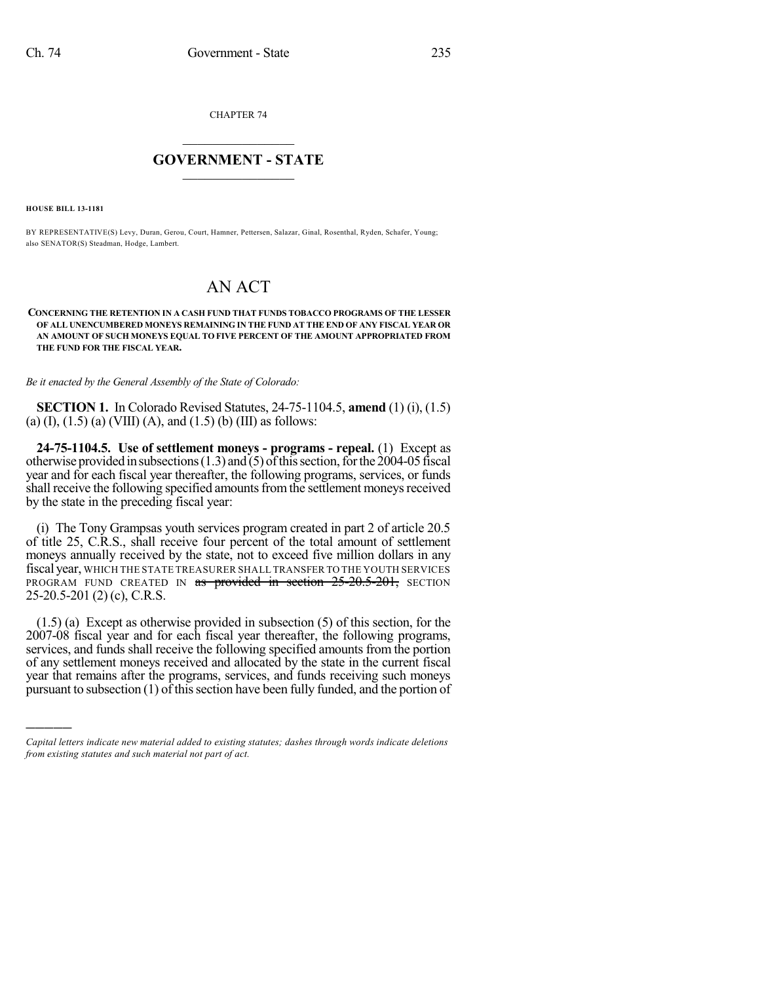CHAPTER 74

## $\overline{\phantom{a}}$  . The set of the set of the set of the set of the set of the set of the set of the set of the set of the set of the set of the set of the set of the set of the set of the set of the set of the set of the set o **GOVERNMENT - STATE**  $\_$

**HOUSE BILL 13-1181**

)))))

BY REPRESENTATIVE(S) Levy, Duran, Gerou, Court, Hamner, Pettersen, Salazar, Ginal, Rosenthal, Ryden, Schafer, Young; also SENATOR(S) Steadman, Hodge, Lambert.

## AN ACT

**CONCERNING THE RETENTION IN A CASH FUND THAT FUNDS TOBACCO PROGRAMS OF THE LESSER OF ALL UNENCUMBERED MONEYS REMAINING IN THE FUND AT THE END OF ANY FISCAL YEAR OR AN AMOUNT OF SUCH MONEYS EQUAL TO FIVE PERCENT OF THE AMOUNT APPROPRIATED FROM THE FUND FOR THE FISCAL YEAR.**

*Be it enacted by the General Assembly of the State of Colorado:*

**SECTION 1.** In Colorado Revised Statutes, 24-75-1104.5, **amend** (1) (i), (1.5) (a) (I),  $(1.5)$  (a) (VIII) (A), and  $(1.5)$  (b) (III) as follows:

**24-75-1104.5. Use of settlement moneys - programs - repeal.** (1) Except as otherwise provided in subsections  $(1.3)$  and  $(5)$  of this section, for the 2004-05 fiscal year and for each fiscal year thereafter, the following programs, services, or funds shall receive the following specified amounts from the settlement moneys received by the state in the preceding fiscal year:

(i) The Tony Grampsas youth services program created in part 2 of article 20.5 of title 25, C.R.S., shall receive four percent of the total amount of settlement moneys annually received by the state, not to exceed five million dollars in any fiscal year, WHICH THE STATE TREASURER SHALL TRANSFER TO THE YOUTH SERVICES PROGRAM FUND CREATED IN as provided in section 25-20.5-201, SECTION 25-20.5-201 (2) (c), C.R.S.

(1.5) (a) Except as otherwise provided in subsection (5) of this section, for the 2007-08 fiscal year and for each fiscal year thereafter, the following programs, services, and funds shall receive the following specified amounts from the portion of any settlement moneys received and allocated by the state in the current fiscal year that remains after the programs, services, and funds receiving such moneys pursuant to subsection  $(1)$  of this section have been fully funded, and the portion of

*Capital letters indicate new material added to existing statutes; dashes through words indicate deletions from existing statutes and such material not part of act.*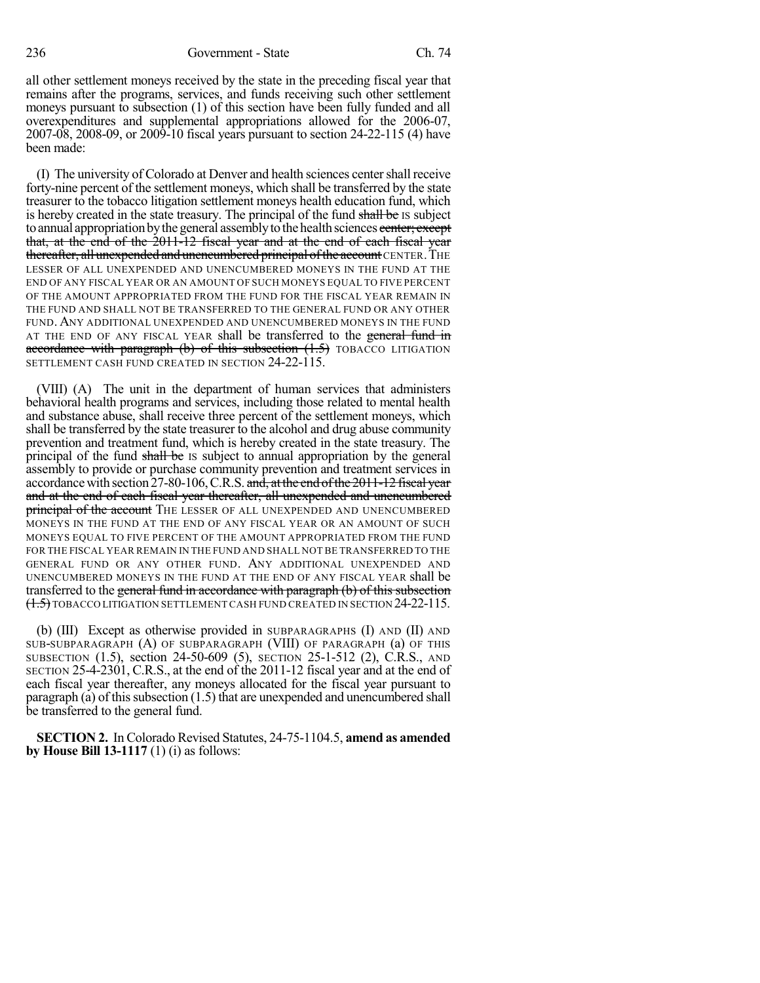all other settlement moneys received by the state in the preceding fiscal year that remains after the programs, services, and funds receiving such other settlement moneys pursuant to subsection (1) of this section have been fully funded and all overexpenditures and supplemental appropriations allowed for the 2006-07, 2007-08, 2008-09, or 2009-10 fiscal years pursuant to section 24-22-115 (4) have been made:

(I) The university of Colorado at Denver and health sciences centershall receive forty-nine percent of the settlement moneys, which shall be transferred by the state treasurer to the tobacco litigation settlement moneys health education fund, which is hereby created in the state treasury. The principal of the fund shall be IS subject to annual appropriation by the general assembly to the health sciences center; except that, at the end of the 2011-12 fiscal year and at the end of each fiscal year thereafter, all unexpended and unencumbered principal of the account CENTER. THE LESSER OF ALL UNEXPENDED AND UNENCUMBERED MONEYS IN THE FUND AT THE END OF ANY FISCAL YEAR OR AN AMOUNT OF SUCH MONEYS EQUAL TO FIVE PERCENT OF THE AMOUNT APPROPRIATED FROM THE FUND FOR THE FISCAL YEAR REMAIN IN THE FUND AND SHALL NOT BE TRANSFERRED TO THE GENERAL FUND OR ANY OTHER FUND. ANY ADDITIONAL UNEXPENDED AND UNENCUMBERED MONEYS IN THE FUND AT THE END OF ANY FISCAL YEAR shall be transferred to the general fund in accordance with paragraph (b) of this subsection  $(1.5)$  TOBACCO LITIGATION SETTLEMENT CASH FUND CREATED IN SECTION 24-22-115.

(VIII) (A) The unit in the department of human services that administers behavioral health programs and services, including those related to mental health and substance abuse, shall receive three percent of the settlement moneys, which shall be transferred by the state treasurer to the alcohol and drug abuse community prevention and treatment fund, which is hereby created in the state treasury. The principal of the fund shall be IS subject to annual appropriation by the general assembly to provide or purchase community prevention and treatment services in accordance with section 27-80-106, C.R.S. and, at the end of the 2011-12 fiscal year and at the end of each fiscal year thereafter, all unexpended and unencumbered **principal of the account** THE LESSER OF ALL UNEXPENDED AND UNENCUMBERED MONEYS IN THE FUND AT THE END OF ANY FISCAL YEAR OR AN AMOUNT OF SUCH MONEYS EQUAL TO FIVE PERCENT OF THE AMOUNT APPROPRIATED FROM THE FUND FOR THE FISCAL YEAR REMAIN IN THE FUND AND SHALL NOT BE TRANSFERRED TO THE GENERAL FUND OR ANY OTHER FUND. ANY ADDITIONAL UNEXPENDED AND UNENCUMBERED MONEYS IN THE FUND AT THE END OF ANY FISCAL YEAR shall be transferred to the general fund in accordance with paragraph (b) of this subsection (1.5) TOBACCO LITIGATION SETTLEMENT CASH FUND CREATED IN SECTION 24-22-115.

(b) (III) Except as otherwise provided in SUBPARAGRAPHS (I) AND (II) AND SUB-SUBPARAGRAPH (A) OF SUBPARAGRAPH (VIII) OF PARAGRAPH (a) OF THIS SUBSECTION (1.5), section 24-50-609 (5), SECTION 25-1-512 (2), C.R.S., AND SECTION 25-4-2301, C.R.S., at the end of the 2011-12 fiscal year and at the end of each fiscal year thereafter, any moneys allocated for the fiscal year pursuant to paragraph (a) of this subsection  $(1.5)$  that are unexpended and unencumbered shall be transferred to the general fund.

**SECTION 2.** In Colorado Revised Statutes, 24-75-1104.5, **amend as amended by House Bill 13-1117** (1) (i) as follows: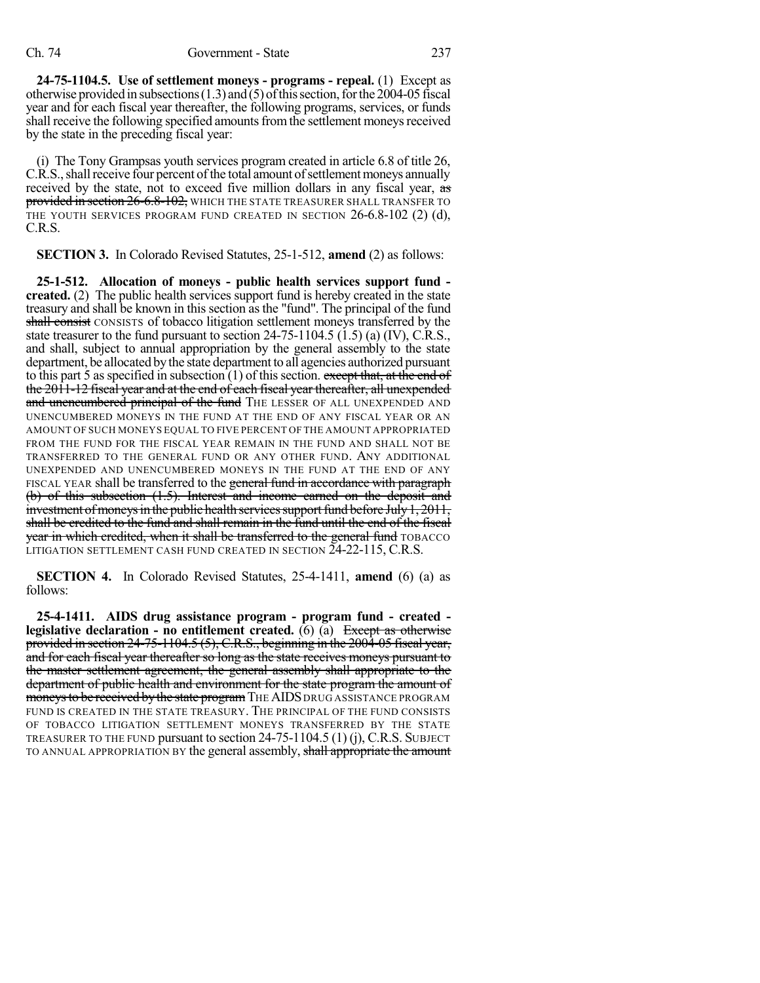**24-75-1104.5. Use of settlement moneys - programs - repeal.** (1) Except as otherwise provided in subsections  $(1.3)$  and  $(5)$  of this section, for the 2004-05 fiscal year and for each fiscal year thereafter, the following programs, services, or funds shall receive the following specified amounts from the settlement moneys received by the state in the preceding fiscal year:

(i) The Tony Grampsas youth services program created in article 6.8 of title 26, C.R.S., shall receive four percent of the total amount of settlement moneys annually received by the state, not to exceed five million dollars in any fiscal year, as provided in section 26-6.8-102, WHICH THE STATE TREASURER SHALL TRANSFER TO THE YOUTH SERVICES PROGRAM FUND CREATED IN SECTION 26-6.8-102 (2) (d), C.R.S.

**SECTION 3.** In Colorado Revised Statutes, 25-1-512, **amend** (2) as follows:

**25-1-512. Allocation of moneys - public health services support fund created.** (2) The public health services support fund is hereby created in the state treasury and shall be known in this section as the "fund". The principal of the fund shall consist CONSISTS of tobacco litigation settlement moneys transferred by the state treasurer to the fund pursuant to section  $24-75-1104.5$  (1.5) (a) (IV), C.R.S., and shall, subject to annual appropriation by the general assembly to the state department, be allocated bythe state department to all agencies authorized pursuant to this part 5 as specified in subsection  $(1)$  of this section. except that, at the end of the 2011-12 fiscal year and at the end of each fiscal year thereafter, all unexpended and unencumbered principal of the fund THE LESSER OF ALL UNEXPENDED AND UNENCUMBERED MONEYS IN THE FUND AT THE END OF ANY FISCAL YEAR OR AN AMOUNT OF SUCH MONEYS EQUAL TO FIVE PERCENT OF THE AMOUNT APPROPRIATED FROM THE FUND FOR THE FISCAL YEAR REMAIN IN THE FUND AND SHALL NOT BE TRANSFERRED TO THE GENERAL FUND OR ANY OTHER FUND. ANY ADDITIONAL UNEXPENDED AND UNENCUMBERED MONEYS IN THE FUND AT THE END OF ANY FISCAL YEAR shall be transferred to the general fund in accordance with paragraph (b) of this subsection (1.5). Interest and income earned on the deposit and investment of moneys in the public health services support fund before July  $1, 2011$ , shall be credited to the fund and shall remain in the fund until the end of the fiscal year in which credited, when it shall be transferred to the general fund TOBACCO LITIGATION SETTLEMENT CASH FUND CREATED IN SECTION 24-22-115, C.R.S.

**SECTION 4.** In Colorado Revised Statutes, 25-4-1411, **amend** (6) (a) as follows:

**25-4-1411. AIDS drug assistance program - program fund - created legislative declaration - no entitlement created.** (6) (a) Except as otherwise provided in section 24-75-1104.5 (5), C.R.S., beginning in the 2004-05 fiscal year, and for each fiscal year thereafter so long as the state receives moneys pursuant to the master settlement agreement, the general assembly shall appropriate to the department of public health and environment for the state program the amount of moneys to be received by the state program THE AIDS DRUG ASSISTANCE PROGRAM FUND IS CREATED IN THE STATE TREASURY. THE PRINCIPAL OF THE FUND CONSISTS OF TOBACCO LITIGATION SETTLEMENT MONEYS TRANSFERRED BY THE STATE TREASURER TO THE FUND pursuant to section 24-75-1104.5 (1) (j), C.R.S. SUBJECT TO ANNUAL APPROPRIATION BY the general assembly, shall appropriate the amount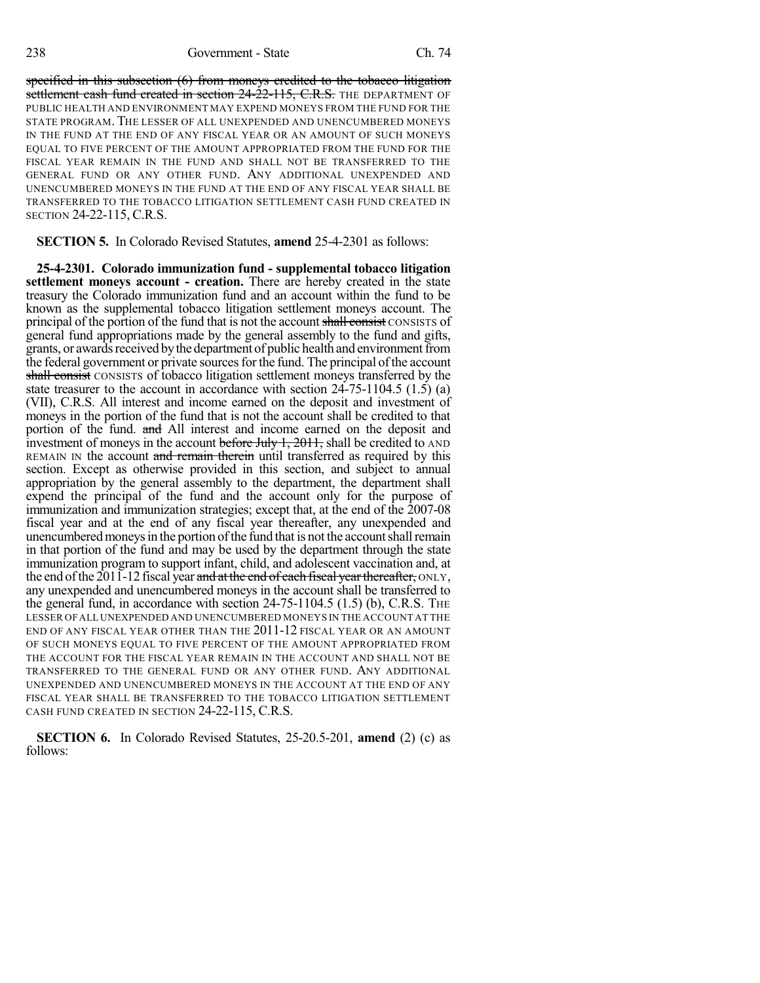specified in this subsection (6) from moneys credited to the tobacco litigation settlement cash fund created in section 24-22-115, C.R.S. THE DEPARTMENT OF PUBLIC HEALTH AND ENVIRONMENT MAY EXPEND MONEYS FROM THE FUND FOR THE STATE PROGRAM. THE LESSER OF ALL UNEXPENDED AND UNENCUMBERED MONEYS IN THE FUND AT THE END OF ANY FISCAL YEAR OR AN AMOUNT OF SUCH MONEYS EQUAL TO FIVE PERCENT OF THE AMOUNT APPROPRIATED FROM THE FUND FOR THE FISCAL YEAR REMAIN IN THE FUND AND SHALL NOT BE TRANSFERRED TO THE GENERAL FUND OR ANY OTHER FUND. ANY ADDITIONAL UNEXPENDED AND UNENCUMBERED MONEYS IN THE FUND AT THE END OF ANY FISCAL YEAR SHALL BE TRANSFERRED TO THE TOBACCO LITIGATION SETTLEMENT CASH FUND CREATED IN SECTION 24-22-115, C.R.S.

**SECTION 5.** In Colorado Revised Statutes, **amend** 25-4-2301 as follows:

**25-4-2301. Colorado immunization fund - supplemental tobacco litigation settlement moneys account - creation.** There are hereby created in the state treasury the Colorado immunization fund and an account within the fund to be known as the supplemental tobacco litigation settlement moneys account. The principal of the portion of the fund that is not the account shall consist CONSISTS of general fund appropriations made by the general assembly to the fund and gifts, grants, or awards received by the department of public health and environment from the federal government or private sources for the fund. The principal of the account shall consist CONSISTS of tobacco litigation settlement moneys transferred by the state treasurer to the account in accordance with section 24-75-1104.5 (1.5) (a) (VII), C.R.S. All interest and income earned on the deposit and investment of moneys in the portion of the fund that is not the account shall be credited to that portion of the fund. and All interest and income earned on the deposit and investment of moneys in the account before July  $1, 2011$ , shall be credited to AND REMAIN IN the account and remain therein until transferred as required by this section. Except as otherwise provided in this section, and subject to annual appropriation by the general assembly to the department, the department shall expend the principal of the fund and the account only for the purpose of immunization and immunization strategies; except that, at the end of the 2007-08 fiscal year and at the end of any fiscal year thereafter, any unexpended and unencumbered moneys in the portion of the fund that is not the account shall remain in that portion of the fund and may be used by the department through the state immunization program to support infant, child, and adolescent vaccination and, at the end of the 2011-12 fiscal year and at the end of each fiscal year thereafter, ONLY, any unexpended and unencumbered moneys in the account shall be transferred to the general fund, in accordance with section 24-75-1104.5 (1.5) (b), C.R.S. THE LESSER OFALL UNEXPENDED AND UNENCUMBERED MONEYS IN THE ACCOUNT AT THE END OF ANY FISCAL YEAR OTHER THAN THE 2011-12 FISCAL YEAR OR AN AMOUNT OF SUCH MONEYS EQUAL TO FIVE PERCENT OF THE AMOUNT APPROPRIATED FROM THE ACCOUNT FOR THE FISCAL YEAR REMAIN IN THE ACCOUNT AND SHALL NOT BE TRANSFERRED TO THE GENERAL FUND OR ANY OTHER FUND. ANY ADDITIONAL UNEXPENDED AND UNENCUMBERED MONEYS IN THE ACCOUNT AT THE END OF ANY FISCAL YEAR SHALL BE TRANSFERRED TO THE TOBACCO LITIGATION SETTLEMENT CASH FUND CREATED IN SECTION 24-22-115, C.R.S.

**SECTION 6.** In Colorado Revised Statutes, 25-20.5-201, **amend** (2) (c) as follows: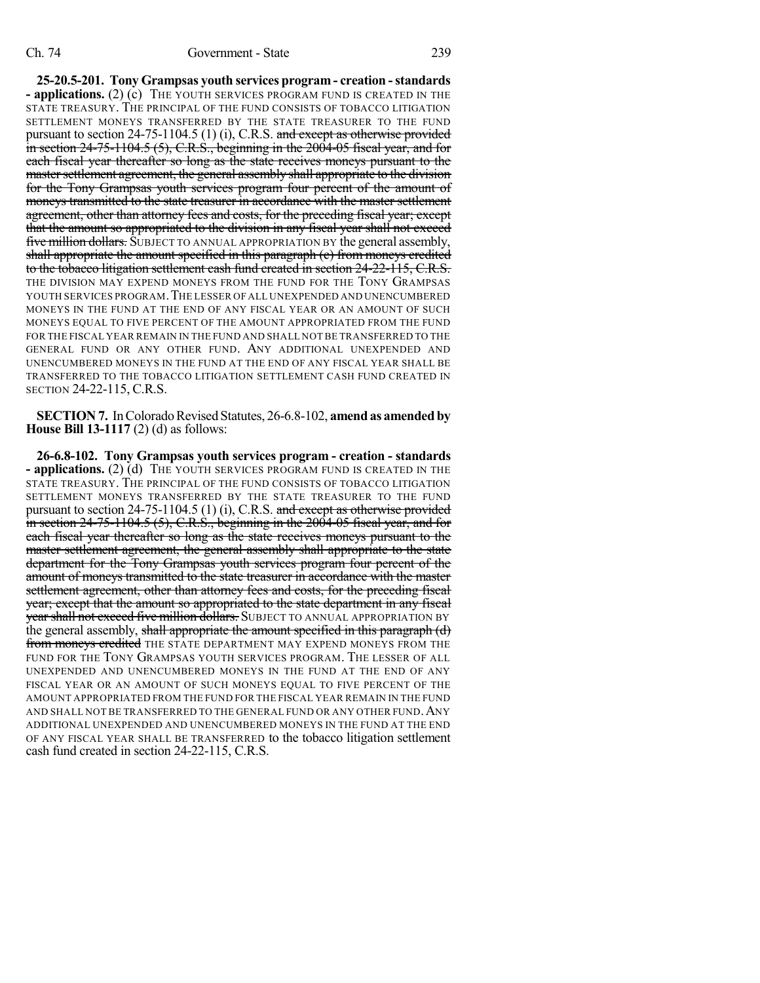**25-20.5-201. Tony Grampsas youth services program - creation -standards - applications.** (2) (c) THE YOUTH SERVICES PROGRAM FUND IS CREATED IN THE STATE TREASURY. THE PRINCIPAL OF THE FUND CONSISTS OF TOBACCO LITIGATION SETTLEMENT MONEYS TRANSFERRED BY THE STATE TREASURER TO THE FUND pursuant to section  $24-75-1104.5$  (1) (i), C.R.S. and except as otherwise provided in section  $24-75-1104.5$  (5), C.R.S., beginning in the  $2004-05$  fiscal year, and for each fiscal year thereafter so long as the state receives moneys pursuant to the master settlement agreement, the general assembly shall appropriate to the division for the Tony Grampsas youth services program four percent of the amount of moneys transmitted to the state treasurer in accordance with the master settlement agreement, other than attorney fees and costs, for the preceding fiscal year; except that the amount so appropriated to the division in any fiscal year shall not exceed **five million dollars.** SUBJECT TO ANNUAL APPROPRIATION BY the general assembly, shall appropriate the amount specified in this paragraph (c) from moneys credited to the tobacco litigation settlement cash fund created in section 24-22-115, C.R.S. THE DIVISION MAY EXPEND MONEYS FROM THE FUND FOR THE TONY GRAMPSAS YOUTH SERVICES PROGRAM.THE LESSER OF ALL UNEXPENDED AND UNENCUMBERED MONEYS IN THE FUND AT THE END OF ANY FISCAL YEAR OR AN AMOUNT OF SUCH MONEYS EQUAL TO FIVE PERCENT OF THE AMOUNT APPROPRIATED FROM THE FUND FOR THE FISCAL YEAR REMAIN IN THE FUND AND SHALL NOT BE TRANSFERRED TO THE GENERAL FUND OR ANY OTHER FUND. ANY ADDITIONAL UNEXPENDED AND UNENCUMBERED MONEYS IN THE FUND AT THE END OF ANY FISCAL YEAR SHALL BE TRANSFERRED TO THE TOBACCO LITIGATION SETTLEMENT CASH FUND CREATED IN SECTION 24-22-115, C.R.S.

**SECTION 7.** In Colorado Revised Statutes, 26-6.8-102, **amend as amended by House Bill 13-1117** (2) (d) as follows:

**26-6.8-102. Tony Grampsas youth services program - creation - standards - applications.** (2) (d) THE YOUTH SERVICES PROGRAM FUND IS CREATED IN THE STATE TREASURY. THE PRINCIPAL OF THE FUND CONSISTS OF TOBACCO LITIGATION SETTLEMENT MONEYS TRANSFERRED BY THE STATE TREASURER TO THE FUND pursuant to section  $24-75-1104.5$  (1) (i), C.R.S. and except as otherwise provided in section 24-75-1104.5 (5), C.R.S., beginning in the 2004-05 fiscal year, and for each fiscal year thereafter so long as the state receives moneys pursuant to the master settlement agreement, the general assembly shall appropriate to the state department for the Tony Grampsas youth services program four percent of the amount of moneys transmitted to the state treasurer in accordance with the master settlement agreement, other than attorney fees and costs, for the preceding fiscal year; except that the amount so appropriated to the state department in any fiscal year shall not exceed five million dollars. SUBJECT TO ANNUAL APPROPRIATION BY the general assembly, shall appropriate the amount specified in this paragraph (d) **from moneys credited** THE STATE DEPARTMENT MAY EXPEND MONEYS FROM THE FUND FOR THE TONY GRAMPSAS YOUTH SERVICES PROGRAM. THE LESSER OF ALL UNEXPENDED AND UNENCUMBERED MONEYS IN THE FUND AT THE END OF ANY FISCAL YEAR OR AN AMOUNT OF SUCH MONEYS EQUAL TO FIVE PERCENT OF THE AMOUNT APPROPRIATED FROM THE FUND FOR THE FISCAL YEAR REMAIN IN THE FUND AND SHALL NOT BE TRANSFERRED TO THE GENERAL FUND OR ANY OTHER FUND.ANY ADDITIONAL UNEXPENDED AND UNENCUMBERED MONEYS IN THE FUND AT THE END OF ANY FISCAL YEAR SHALL BE TRANSFERRED to the tobacco litigation settlement cash fund created in section 24-22-115, C.R.S.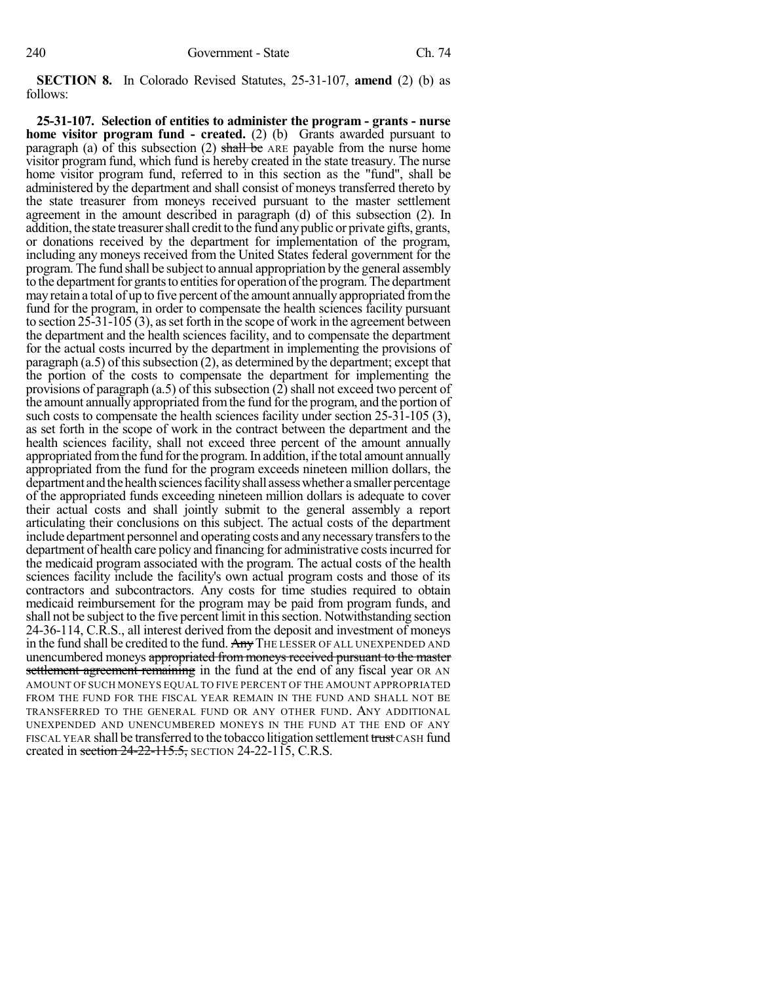**SECTION 8.** In Colorado Revised Statutes, 25-31-107, **amend** (2) (b) as follows:

**25-31-107. Selection of entities to administer the program - grants - nurse home visitor program fund - created.** (2) (b) Grants awarded pursuant to paragraph (a) of this subsection (2) shall be ARE payable from the nurse home visitor program fund, which fund is hereby created in the state treasury. The nurse home visitor program fund, referred to in this section as the "fund", shall be administered by the department and shall consist of moneys transferred thereto by the state treasurer from moneys received pursuant to the master settlement agreement in the amount described in paragraph (d) of this subsection (2). In addition, the state treasurer shall credit to the fund any public or private gifts, grants, or donations received by the department for implementation of the program, including any moneys received from the United States federal government for the program. The fund shall be subject to annual appropriation by the general assembly to the department for grants to entities for operation of the program. The department may retain a total of up to five percent of the amount annually appropriated from the fund for the program, in order to compensate the health sciences facility pursuant to section  $25-31-105(3)$ , as set forth in the scope of work in the agreement between the department and the health sciences facility, and to compensate the department for the actual costs incurred by the department in implementing the provisions of paragraph  $(a.5)$  of this subsection  $(2)$ , as determined by the department; except that the portion of the costs to compensate the department for implementing the provisions of paragraph  $(a.5)$  of this subsection  $(2)$  shall not exceed two percent of the amount annually appropriated fromthe fund for the program, and the portion of such costs to compensate the health sciences facility under section 25-31-105 (3), as set forth in the scope of work in the contract between the department and the health sciences facility, shall not exceed three percent of the amount annually appropriated from the fund for the program. In addition, if the total amount annually appropriated from the fund for the program exceeds nineteen million dollars, the department and the health sciences facility shall assess whether a smaller percentage of the appropriated funds exceeding nineteen million dollars is adequate to cover their actual costs and shall jointly submit to the general assembly a report articulating their conclusions on this subject. The actual costs of the department include department personnel and operating costs and anynecessarytransfersto the department of health care policy and financing for administrative costsincurred for the medicaid program associated with the program. The actual costs of the health sciences facility include the facility's own actual program costs and those of its contractors and subcontractors. Any costs for time studies required to obtain medicaid reimbursement for the program may be paid from program funds, and shall not be subject to the five percent limit in this section. Notwithstanding section 24-36-114, C.R.S., all interest derived from the deposit and investment of moneys in the fund shall be credited to the fund. Any THE LESSER OF ALL UNEXPENDED AND unencumbered moneys appropriated from moneys received pursuant to the master settlement agreement remaining in the fund at the end of any fiscal year OR AN AMOUNT OF SUCH MONEYS EQUAL TO FIVE PERCENT OF THE AMOUNT APPROPRIATED FROM THE FUND FOR THE FISCAL YEAR REMAIN IN THE FUND AND SHALL NOT BE TRANSFERRED TO THE GENERAL FUND OR ANY OTHER FUND. ANY ADDITIONAL UNEXPENDED AND UNENCUMBERED MONEYS IN THE FUND AT THE END OF ANY FISCAL YEAR shall be transferred to the tobacco litigation settlement trust CASH fund created in section  $24-22-115.5$ , SECTION 24-22-115, C.R.S.